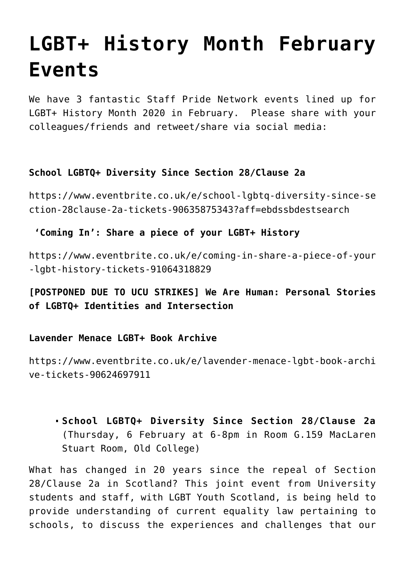# **[LGBT+ History Month February](https://blogs.ed.ac.uk/staffpridenetwork/2020/01/23/lgbt-history-month-february-events/) [Events](https://blogs.ed.ac.uk/staffpridenetwork/2020/01/23/lgbt-history-month-february-events/)**

We have 3 fantastic Staff Pride Network events lined up for LGBT+ History Month 2020 in February. Please share with your colleagues/friends and retweet/share via social media:

## **School LGBTQ+ Diversity Since Section 28/Clause 2a**

[https://www.eventbrite.co.uk/e/school-lgbtq-diversity-since-se](https://www.eventbrite.co.uk/e/school-lgbtq-diversity-since-section-28clause-2a-tickets-90635875343?aff=ebdssbdestsearch) [ction-28clause-2a-tickets-90635875343?aff=ebdssbdestsearch](https://www.eventbrite.co.uk/e/school-lgbtq-diversity-since-section-28clause-2a-tickets-90635875343?aff=ebdssbdestsearch)

## **'Coming In': Share a piece of your LGBT+ History**

[https://www.eventbrite.co.uk/e/coming-in-share-a-piece-of-your](https://www.eventbrite.co.uk/e/coming-in-share-a-piece-of-your-lgbt-history-tickets-91064318829) [-lgbt-history-tickets-91064318829](https://www.eventbrite.co.uk/e/coming-in-share-a-piece-of-your-lgbt-history-tickets-91064318829)

**[POSTPONED DUE TO UCU STRIKES] We Are Human: Personal Stories of LGBTQ+ Identities and Intersection**

#### **Lavender Menace LGBT+ Book Archive**

[https://www.eventbrite.co.uk/e/lavender-menace-lgbt-book-archi](https://www.eventbrite.co.uk/e/lavender-menace-lgbt-book-archive-tickets-90624697911) [ve-tickets-90624697911](https://www.eventbrite.co.uk/e/lavender-menace-lgbt-book-archive-tickets-90624697911)

**School LGBTQ+ Diversity Since Section 28/Clause 2a** (Thursday, 6 February at 6-8pm in Room G.159 MacLaren Stuart Room, Old College)

What has changed in 20 years since the repeal of Section 28/Clause 2a in Scotland? This joint event from University students and staff, with LGBT Youth Scotland, is being held to provide understanding of current equality law pertaining to schools, to discuss the experiences and challenges that our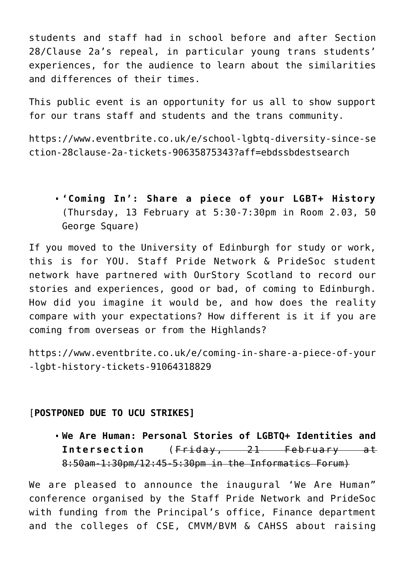students and staff had in school before and after Section 28/Clause 2a's repeal, in particular young trans students' experiences, for the audience to learn about the similarities and differences of their times.

This public event is an opportunity for us all to show support for our trans staff and students and the trans community.

[https://www.eventbrite.co.uk/e/school-lgbtq-diversity-since-se](https://www.eventbrite.co.uk/e/school-lgbtq-diversity-since-section-28clause-2a-tickets-90635875343?aff=ebdssbdestsearch) [ction-28clause-2a-tickets-90635875343?aff=ebdssbdestsearch](https://www.eventbrite.co.uk/e/school-lgbtq-diversity-since-section-28clause-2a-tickets-90635875343?aff=ebdssbdestsearch)

**'Coming In': Share a piece of your LGBT+ History** (Thursday, 13 February at 5:30-7:30pm in Room 2.03, 50 George Square)

If you moved to the University of Edinburgh for study or work, this is for YOU. Staff Pride Network & PrideSoc student network have partnered with OurStory Scotland to record our stories and experiences, good or bad, of coming to Edinburgh. How did you imagine it would be, and how does the reality compare with your expectations? How different is it if you are coming from overseas or from the Highlands?

[https://www.eventbrite.co.uk/e/coming-in-share-a-piece-of-your](https://www.eventbrite.co.uk/e/coming-in-share-a-piece-of-your-lgbt-history-tickets-91064318829) [-lgbt-history-tickets-91064318829](https://www.eventbrite.co.uk/e/coming-in-share-a-piece-of-your-lgbt-history-tickets-91064318829)

#### [**POSTPONED DUE TO UCU STRIKES]**

**We Are Human: Personal Stories of LGBTQ+ Identities and Intersection** (Friday, 21 February at 8:50am-1:30pm/12:45-5:30pm in the Informatics Forum)

We are pleased to announce the inaugural 'We Are Human" conference organised by the Staff Pride Network and PrideSoc with funding from the Principal's office, Finance department and the colleges of CSE, CMVM/BVM & CAHSS about raising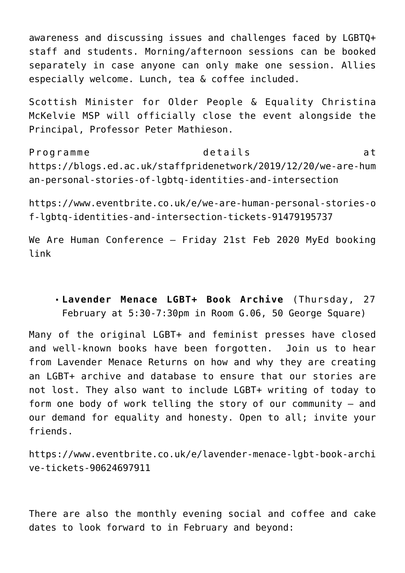awareness and discussing issues and challenges faced by LGBTQ+ staff and students. Morning/afternoon sessions can be booked separately in case anyone can only make one session. Allies especially welcome. Lunch, tea & coffee included.

Scottish Minister for Older People & Equality Christina McKelvie MSP will officially close the event alongside the Principal, Professor Peter Mathieson.

Programme details at [https://blogs.ed.ac.uk/staffpridenetwork/2019/12/20/we-are-hum](https://blogs.ed.ac.uk/staffpridenetwork/2019/12/20/we-are-human-personal-stories-of-lgbtq-identities-and-intersection/) [an-personal-stories-of-lgbtq-identities-and-intersection](https://blogs.ed.ac.uk/staffpridenetwork/2019/12/20/we-are-human-personal-stories-of-lgbtq-identities-and-intersection/)

[https://www.eventbrite.co.uk/e/we-are-human-personal-stories-o](https://www.eventbrite.co.uk/e/we-are-human-personal-stories-of-lgbtq-identities-and-intersection-tickets-91479195737) [f-lgbtq-identities-and-intersection-tickets-91479195737](https://www.eventbrite.co.uk/e/we-are-human-personal-stories-of-lgbtq-identities-and-intersection-tickets-91479195737)

[We Are Human Conference – Friday 21st Feb 2020 MyEd booking](https://www.events.ed.ac.uk/index.cfm?eventssearch=LGBT&event=search&eventStart=0&eventProviderId=&cw_inChannelLink=1&cw_passThrough=marked) [link](https://www.events.ed.ac.uk/index.cfm?eventssearch=LGBT&event=search&eventStart=0&eventProviderId=&cw_inChannelLink=1&cw_passThrough=marked)

**Lavender Menace LGBT+ Book Archive** (Thursday, 27 February at 5:30-7:30pm in Room G.06, 50 George Square)

Many of the original LGBT+ and feminist presses have closed and well-known books have been forgotten. Join us to hear from Lavender Menace Returns on how and why they are creating an LGBT+ archive and database to ensure that our stories are not lost. They also want to include LGBT+ writing of today to form one body of work telling the story of our community – and our demand for equality and honesty. Open to all; invite your friends.

[https://www.eventbrite.co.uk/e/lavender-menace-lgbt-book-archi](https://www.eventbrite.co.uk/e/lavender-menace-lgbt-book-archive-tickets-90624697911) [ve-tickets-90624697911](https://www.eventbrite.co.uk/e/lavender-menace-lgbt-book-archive-tickets-90624697911)

There are also the monthly evening social and coffee and cake dates to look forward to in February and beyond: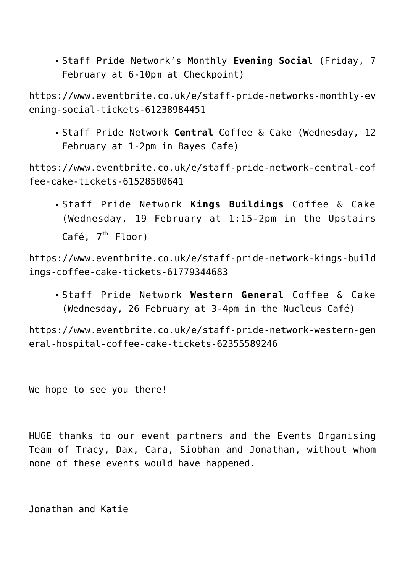Staff Pride Network's Monthly **Evening Social** (Friday, 7 February at 6-10pm at Checkpoint)

[https://www.eventbrite.co.uk/e/staff-pride-networks-monthly-ev](https://www.eventbrite.co.uk/e/staff-pride-networks-monthly-evening-social-tickets-61238984451) [ening-social-tickets-61238984451](https://www.eventbrite.co.uk/e/staff-pride-networks-monthly-evening-social-tickets-61238984451)

Staff Pride Network **Central** Coffee & Cake (Wednesday, 12 February at 1-2pm in Bayes Cafe)

[https://www.eventbrite.co.uk/e/staff-pride-network-central-cof](https://www.eventbrite.co.uk/e/staff-pride-network-central-coffee-cake-tickets-61528580641) [fee-cake-tickets-61528580641](https://www.eventbrite.co.uk/e/staff-pride-network-central-coffee-cake-tickets-61528580641)

Staff Pride Network **Kings Buildings** Coffee & Cake (Wednesday, 19 February at 1:15-2pm in the Upstairs Café,  $7<sup>th</sup>$  Floor)

[https://www.eventbrite.co.uk/e/staff-pride-network-kings-build](https://www.eventbrite.co.uk/e/staff-pride-network-kings-buildings-coffee-cake-tickets-61779344683) [ings-coffee-cake-tickets-61779344683](https://www.eventbrite.co.uk/e/staff-pride-network-kings-buildings-coffee-cake-tickets-61779344683)

Staff Pride Network **Western General** Coffee & Cake (Wednesday, 26 February at 3-4pm in the Nucleus Café)

[https://www.eventbrite.co.uk/e/staff-pride-network-western-gen](https://www.eventbrite.co.uk/e/staff-pride-network-western-general-hospital-coffee-cake-tickets-62355589246) [eral-hospital-coffee-cake-tickets-62355589246](https://www.eventbrite.co.uk/e/staff-pride-network-western-general-hospital-coffee-cake-tickets-62355589246)

We hope to see you there!

HUGE thanks to our event partners and the Events Organising Team of Tracy, Dax, Cara, Siobhan and Jonathan, without whom none of these events would have happened.

Jonathan and Katie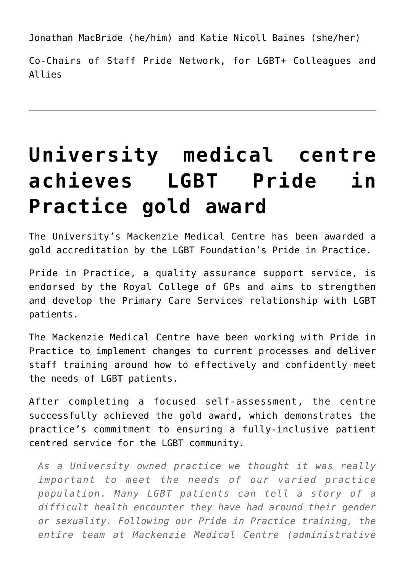Jonathan MacBride (he/him) and Katie Nicoll Baines (she/her)

Co-Chairs of Staff Pride Network, for LGBT+ Colleagues and Allies

# **[University medical centre](https://blogs.ed.ac.uk/staffpridenetwork/2020/01/16/university-medical-centre-achieves-lgbt-pride-in-practice-gold-award/) [achieves LGBT Pride in](https://blogs.ed.ac.uk/staffpridenetwork/2020/01/16/university-medical-centre-achieves-lgbt-pride-in-practice-gold-award/) [Practice gold award](https://blogs.ed.ac.uk/staffpridenetwork/2020/01/16/university-medical-centre-achieves-lgbt-pride-in-practice-gold-award/)**

The University's Mackenzie Medical Centre has been awarded a gold accreditation by the LGBT Foundation's Pride in Practice.

Pride in Practice, a quality assurance support service, is endorsed by the Royal College of GPs and aims to strengthen and develop the Primary Care Services relationship with LGBT patients.

The Mackenzie Medical Centre have been working with Pride in Practice to implement changes to current processes and deliver staff training around how to effectively and confidently meet the needs of LGBT patients.

After completing a focused self-assessment, the centre successfully achieved the gold award, which demonstrates the practice's commitment to ensuring a fully-inclusive patient centred service for the LGBT community.

*As a University owned practice we thought it was really important to meet the needs of our varied practice population. Many LGBT patients can tell a story of a difficult health encounter they have had around their gender or sexuality. Following our Pride in Practice training, the entire team at Mackenzie Medical Centre (administrative*